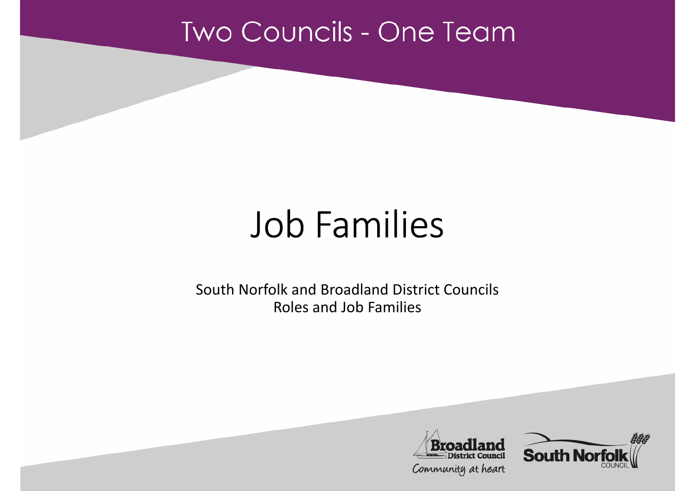#### **Two Councils - One Team**

# Job Families

South Norfolk and Broadland District Councils Roles and Job Families



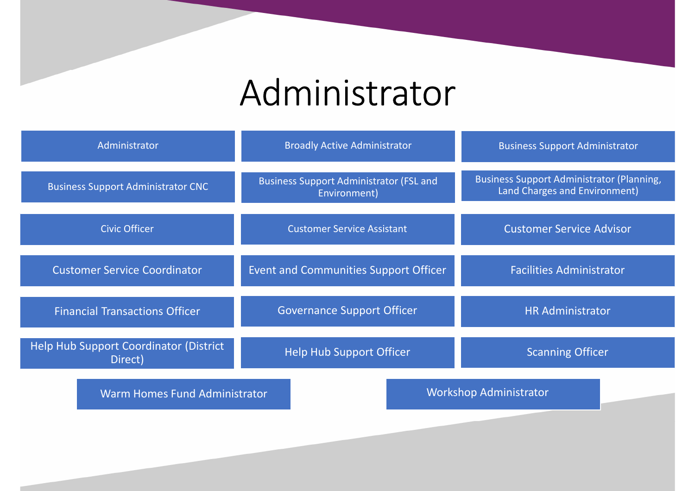### Administrator

| Administrator                                     | <b>Broadly Active Administrator</b>                            | <b>Business Support Administrator</b>                                             |  |
|---------------------------------------------------|----------------------------------------------------------------|-----------------------------------------------------------------------------------|--|
| <b>Business Support Administrator CNC</b>         | <b>Business Support Administrator (FSL and</b><br>Environment) | <b>Business Support Administrator (Planning,</b><br>Land Charges and Environment) |  |
| <b>Civic Officer</b>                              | <b>Customer Service Assistant</b>                              | <b>Customer Service Advisor</b>                                                   |  |
| <b>Customer Service Coordinator</b>               | Event and Communities Support Officer                          | <b>Facilities Administrator</b>                                                   |  |
| <b>Financial Transactions Officer</b>             | <b>Governance Support Officer</b>                              | <b>HR Administrator</b>                                                           |  |
| Help Hub Support Coordinator (District<br>Direct) | <b>Help Hub Support Officer</b>                                | <b>Scanning Officer</b>                                                           |  |
| <b>Warm Homes Fund Administrator</b>              | <b>Workshop Administrator</b>                                  |                                                                                   |  |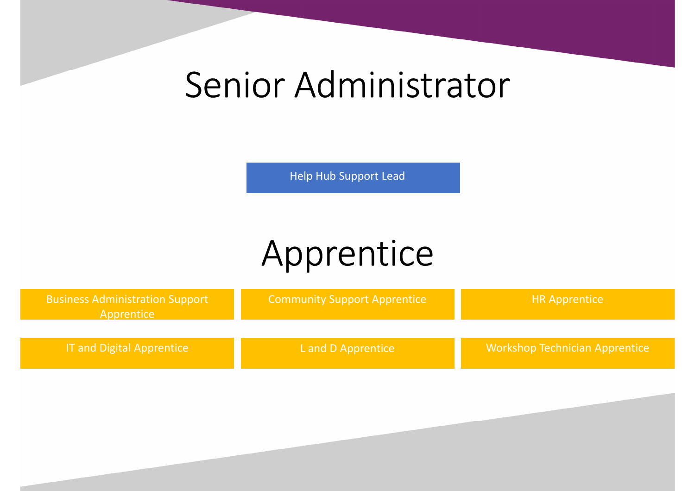#### Senior Administrator

Help Hub Support Lead

## Apprentice

| <b>Business Administration Support</b><br>Apprentice | <b>Community Support Apprentice</b> | <b>HR Apprentice</b>                  |
|------------------------------------------------------|-------------------------------------|---------------------------------------|
| <b>IT and Digital Apprentice</b>                     | L and D Apprentice                  | <b>Workshop Technician Apprentice</b> |
|                                                      |                                     |                                       |
|                                                      |                                     |                                       |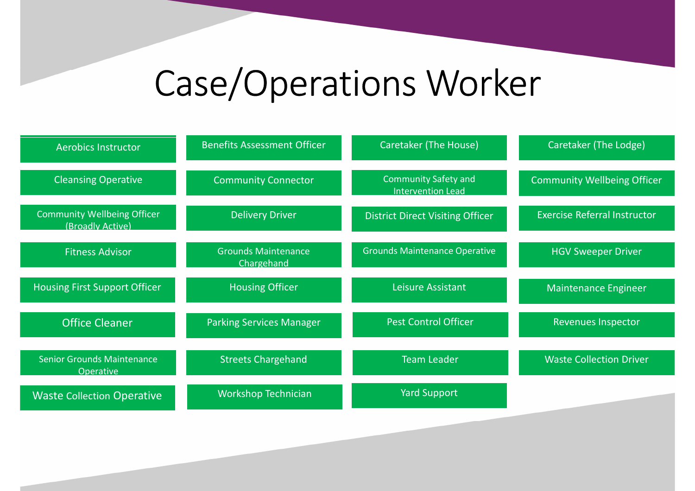## Case/Operations Worker

| <b>Aerobics Instructor</b>                             | <b>Benefits Assessment Officer</b>       | <b>Caretaker (The House)</b>                            | Caretaker (The Lodge)               |
|--------------------------------------------------------|------------------------------------------|---------------------------------------------------------|-------------------------------------|
| <b>Cleansing Operative</b>                             | <b>Community Connector</b>               | <b>Community Safety and</b><br><b>Intervention Lead</b> | <b>Community Wellbeing Officer</b>  |
| <b>Community Wellbeing Officer</b><br>(Broadly Active) | <b>Delivery Driver</b>                   | <b>District Direct Visiting Officer</b>                 | <b>Exercise Referral Instructor</b> |
| <b>Fitness Advisor</b>                                 | <b>Grounds Maintenance</b><br>Chargehand | <b>Grounds Maintenance Operative</b>                    | <b>HGV Sweeper Driver</b>           |
| <b>Housing First Support Officer</b>                   | <b>Housing Officer</b>                   | Leisure Assistant                                       | <b>Maintenance Engineer</b>         |
| <b>Office Cleaner</b>                                  | <b>Parking Services Manager</b>          | <b>Pest Control Officer</b>                             | <b>Revenues Inspector</b>           |
| <b>Senior Grounds Maintenance</b><br><b>Operative</b>  | <b>Streets Chargehand</b>                | <b>Team Leader</b>                                      | <b>Waste Collection Driver</b>      |
| <b>Waste Collection Operative</b>                      | <b>Workshop Technician</b>               | <b>Yard Support</b>                                     |                                     |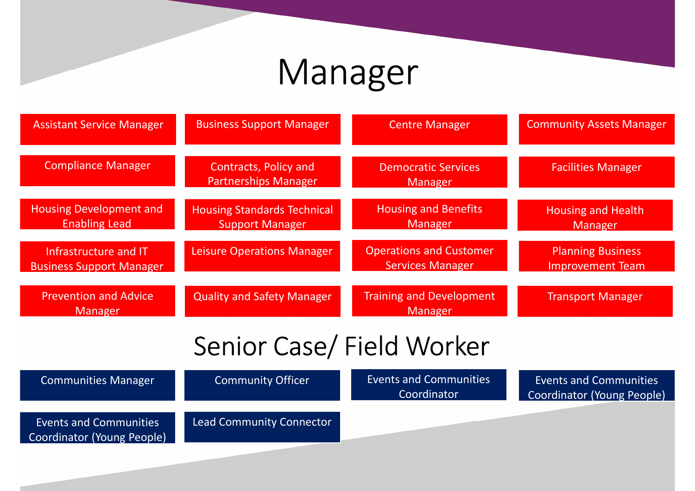#### Manager

| <b>Assistant Service Manager</b>                            | <b>Business Support Manager</b>                              | <b>Centre Manager</b>                                     | <b>Community Assets Manager</b>                             |
|-------------------------------------------------------------|--------------------------------------------------------------|-----------------------------------------------------------|-------------------------------------------------------------|
| <b>Compliance Manager</b>                                   | Contracts, Policy and<br><b>Partnerships Manager</b>         | <b>Democratic Services</b><br><b>Manager</b>              | <b>Facilities Manager</b>                                   |
| <b>Housing Development and</b><br><b>Enabling Lead</b>      | <b>Housing Standards Technical</b><br><b>Support Manager</b> | <b>Housing and Benefits</b><br><b>Manager</b>             | <b>Housing and Health</b><br>Manager                        |
| Infrastructure and IT<br><b>Business Support Manager</b>    | Leisure Operations Manager                                   | <b>Operations and Customer</b><br><b>Services Manager</b> | <b>Planning Business</b><br><b>Improvement Team</b>         |
| <b>Prevention and Advice</b><br><b>Manager</b>              | <b>Quality and Safety Manager</b>                            | <b>Training and Development</b><br><b>Manager</b>         | <b>Transport Manager</b>                                    |
|                                                             | Senior Case/ Field Worker                                    |                                                           |                                                             |
| <b>Communities Manager</b>                                  | <b>Community Officer</b>                                     | <b>Events and Communities</b><br>Coordinator              | <b>Events and Communities</b><br>Coordinator (Young People) |
| <b>Events and Communities</b><br>Coordinator (Young People) | <b>Lead Community Connector</b>                              |                                                           |                                                             |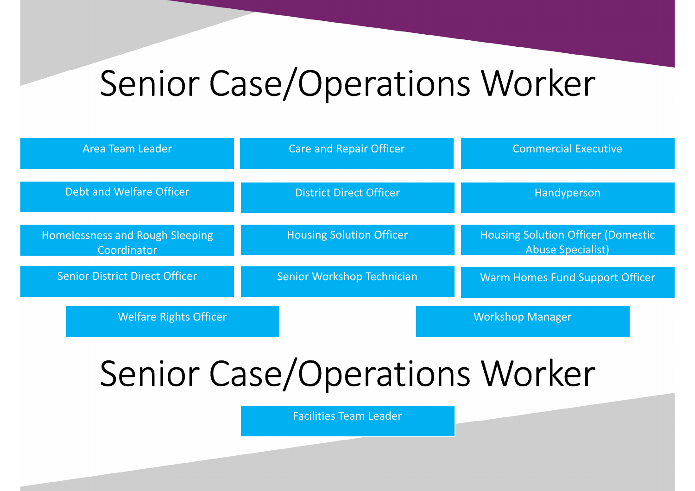#### Senior Case/Operations Worker

| Area Team Leader                               | Care and Repair Officer         | <b>Commercial Executive</b>                                            |
|------------------------------------------------|---------------------------------|------------------------------------------------------------------------|
| Debt and Welfare Officer                       | <b>District Direct Officer</b>  | Handyperson                                                            |
| Homelessness and Rough Sleeping<br>Coordinator | <b>Housing Solution Officer</b> | <b>Housing Solution Officer (Domestic)</b><br><b>Abuse Specialist)</b> |
| <b>Senior District Direct Officer</b>          | Senior Workshop Technician      | Warm Homes Fund Support Officer                                        |
| <b>Welfare Rights Officer</b>                  |                                 | <b>Workshop Manager</b>                                                |

# Senior Case/Operations Worker

Facilities Team Leader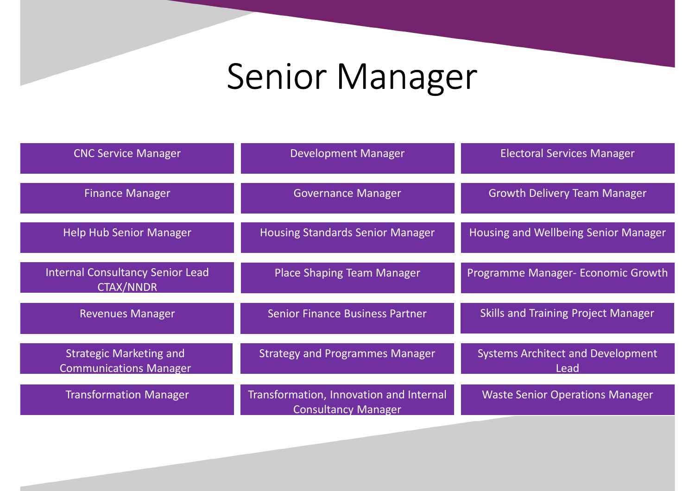## Senior Manager

| <b>CNC Service Manager</b>                                      | <b>Development Manager</b>                                            | <b>Electoral Services Manager</b>                |
|-----------------------------------------------------------------|-----------------------------------------------------------------------|--------------------------------------------------|
| <b>Finance Manager</b>                                          | <b>Governance Manager</b>                                             | <b>Growth Delivery Team Manager</b>              |
| <b>Help Hub Senior Manager</b>                                  | <b>Housing Standards Senior Manager</b>                               | Housing and Wellbeing Senior Manager             |
| <b>Internal Consultancy Senior Lead</b><br><b>CTAX/NNDR</b>     | Place Shaping Team Manager                                            | Programme Manager- Economic Growth               |
| <b>Revenues Manager</b>                                         | <b>Senior Finance Business Partner</b>                                | <b>Skills and Training Project Manager</b>       |
| <b>Strategic Marketing and</b><br><b>Communications Manager</b> | <b>Strategy and Programmes Manager</b>                                | <b>Systems Architect and Development</b><br>Lead |
| <b>Transformation Manager</b>                                   | Transformation, Innovation and Internal<br><b>Consultancy Manager</b> | <b>Waste Senior Operations Manager</b>           |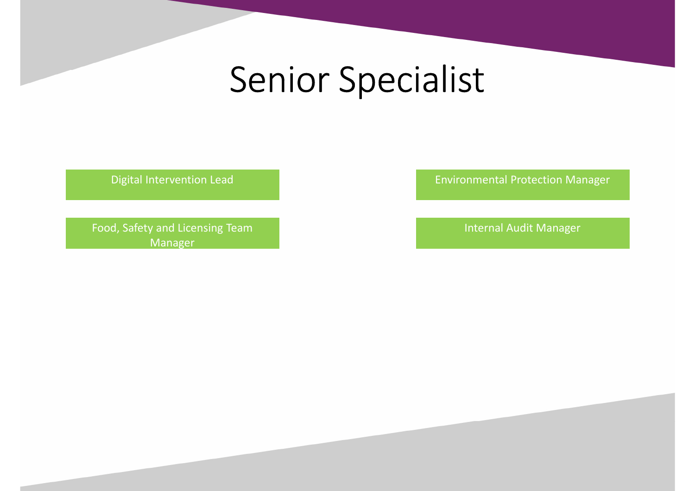#### Senior Specialist

Digital Intervention Lead

Food, Safety and Licensing Team Internal Audit Manager Manager

Environmental Protection Manager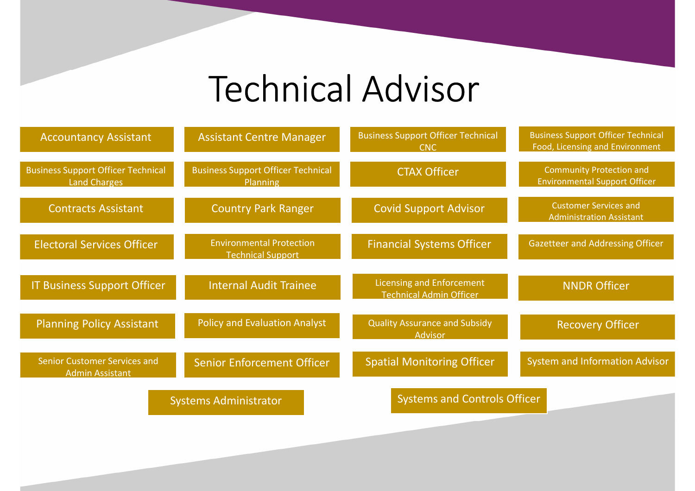# Technical Advisor

| <b>Accountancy Assistant</b>                                     | <b>Assistant Centre Manager</b>                             | <b>Business Support Officer Technical</b><br>CNC                   | <b>Business Support Officer Technical</b><br>Food, Licensing and Environment |
|------------------------------------------------------------------|-------------------------------------------------------------|--------------------------------------------------------------------|------------------------------------------------------------------------------|
| <b>Business Support Officer Technical</b><br><b>Land Charges</b> | <b>Business Support Officer Technical</b><br>Planning       | <b>CTAX Officer</b>                                                | <b>Community Protection and</b><br><b>Environmental Support Officer</b>      |
| <b>Contracts Assistant</b>                                       | <b>Country Park Ranger</b>                                  | <b>Covid Support Advisor</b>                                       | <b>Customer Services and</b><br><b>Administration Assistant</b>              |
| <b>Electoral Services Officer</b>                                | <b>Environmental Protection</b><br><b>Technical Support</b> | <b>Financial Systems Officer</b>                                   | <b>Gazetteer and Addressing Officer</b>                                      |
| IT Business Support Officer                                      | <b>Internal Audit Trainee</b>                               | <b>Licensing and Enforcement</b><br><b>Technical Admin Officer</b> | <b>NNDR Officer</b>                                                          |
| <b>Planning Policy Assistant</b>                                 | <b>Policy and Evaluation Analyst</b>                        | <b>Quality Assurance and Subsidy</b><br><b>Advisor</b>             | <b>Recovery Officer</b>                                                      |
| <b>Senior Customer Services and</b><br><b>Admin Assistant</b>    | <b>Senior Enforcement Officer</b>                           | <b>Spatial Monitoring Officer</b>                                  | <b>System and Information Advisor</b>                                        |
|                                                                  | <b>Systems Administrator</b>                                | <b>Systems and Controls Officer</b>                                |                                                                              |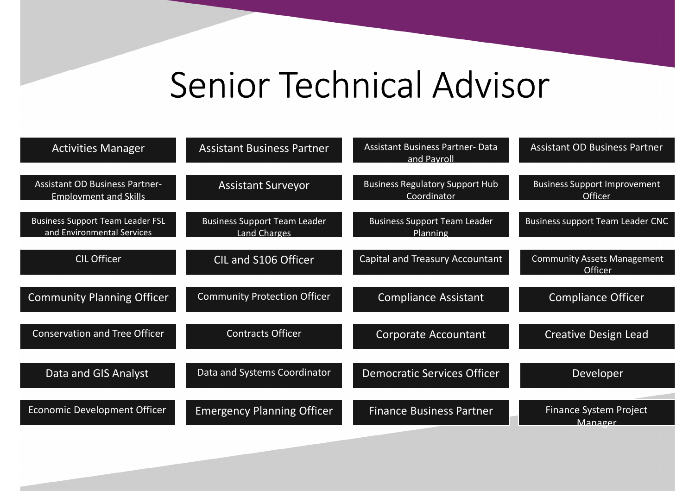## Senior Technical Advisor

| <b>Activities Manager</b>                                             | <b>Assistant Business Partner</b>                          | <b>Assistant Business Partner- Data</b><br>and Payroll | <b>Assistant OD Business Partner</b>           |
|-----------------------------------------------------------------------|------------------------------------------------------------|--------------------------------------------------------|------------------------------------------------|
| <b>Assistant OD Business Partner-</b><br><b>Employment and Skills</b> | <b>Assistant Surveyor</b>                                  | <b>Business Regulatory Support Hub</b><br>Coordinator  | <b>Business Support Improvement</b><br>Officer |
| <b>Business Support Team Leader FSL</b><br>and Environmental Services | <b>Business Support Team Leader</b><br><b>Land Charges</b> | <b>Business Support Team Leader</b><br>Planning        | <b>Business support Team Leader CNC</b>        |
| <b>CIL Officer</b>                                                    | CIL and S106 Officer                                       | <b>Capital and Treasury Accountant</b>                 | <b>Community Assets Management</b><br>Officer  |
| <b>Community Planning Officer</b>                                     | <b>Community Protection Officer</b>                        | <b>Compliance Assistant</b>                            | <b>Compliance Officer</b>                      |
| <b>Conservation and Tree Officer</b>                                  | <b>Contracts Officer</b>                                   | <b>Corporate Accountant</b>                            | Creative Design Lead                           |
| Data and GIS Analyst                                                  | Data and Systems Coordinator                               | <b>Democratic Services Officer</b>                     | Developer                                      |
| Economic Development Officer                                          | <b>Emergency Planning Officer</b>                          | <b>Finance Business Partner</b>                        | <b>Finance System Project</b><br>Manager       |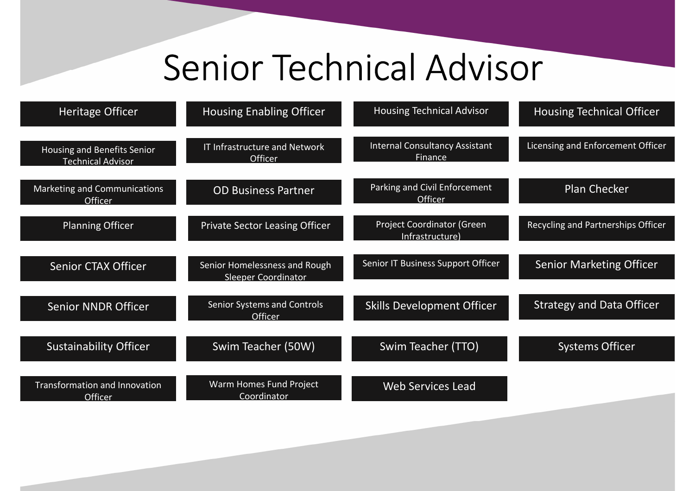## Senior Technical Advisor

| Heritage Officer                                        | <b>Housing Enabling Officer</b>                             | <b>Housing Technical Advisor</b>                        | <b>Housing Technical Officer</b>   |
|---------------------------------------------------------|-------------------------------------------------------------|---------------------------------------------------------|------------------------------------|
| Housing and Benefits Senior<br><b>Technical Advisor</b> | IT Infrastructure and Network<br>Officer                    | <b>Internal Consultancy Assistant</b><br><b>Finance</b> | Licensing and Enforcement Officer  |
| Marketing and Communications<br>Officer                 | <b>OD Business Partner</b>                                  | Parking and Civil Enforcement<br>Officer                | <b>Plan Checker</b>                |
| <b>Planning Officer</b>                                 | <b>Private Sector Leasing Officer</b>                       | <b>Project Coordinator (Green</b><br>Infrastructure)    | Recycling and Partnerships Officer |
| <b>Senior CTAX Officer</b>                              | Senior Homelessness and Rough<br><b>Sleeper Coordinator</b> | Senior IT Business Support Officer                      | <b>Senior Marketing Officer</b>    |
| <b>Senior NNDR Officer</b>                              | Senior Systems and Controls<br>Officer                      | <b>Skills Development Officer</b>                       | <b>Strategy and Data Officer</b>   |
| <b>Sustainability Officer</b>                           | Swim Teacher (50W)                                          | Swim Teacher (TTO)                                      | <b>Systems Officer</b>             |
| Transformation and Innovation<br>Officer                | Warm Homes Fund Project<br>Coordinator                      | <b>Web Services Lead</b>                                |                                    |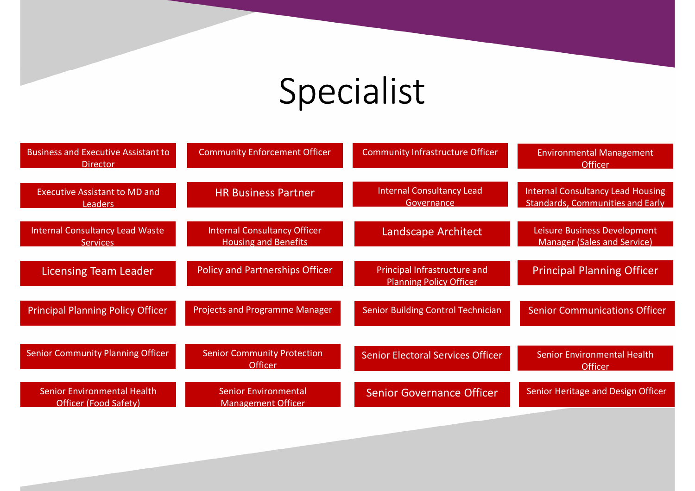# Specialist

| <b>Business and Executive Assistant to</b><br><b>Director</b>      | <b>Community Enforcement Officer</b>                               | <b>Community Infrastructure Officer</b>                        | <b>Environmental Management</b><br><b>Officer</b>                                   |
|--------------------------------------------------------------------|--------------------------------------------------------------------|----------------------------------------------------------------|-------------------------------------------------------------------------------------|
| <b>Executive Assistant to MD and</b><br><b>Leaders</b>             | <b>HR Business Partner</b>                                         | <b>Internal Consultancy Lead</b><br>Governance                 | <b>Internal Consultancy Lead Housing</b><br><b>Standards, Communities and Early</b> |
| <b>Internal Consultancy Lead Waste</b><br><b>Services</b>          | <b>Internal Consultancy Officer</b><br><b>Housing and Benefits</b> | Landscape Architect                                            | Leisure Business Development<br><b>Manager (Sales and Service)</b>                  |
| <b>Licensing Team Leader</b>                                       | <b>Policy and Partnerships Officer</b>                             | Principal Infrastructure and<br><b>Planning Policy Officer</b> | <b>Principal Planning Officer</b>                                                   |
| <b>Principal Planning Policy Officer</b>                           | <b>Projects and Programme Manager</b>                              | <b>Senior Building Control Technician</b>                      | <b>Senior Communications Officer</b>                                                |
| <b>Senior Community Planning Officer</b>                           | <b>Senior Community Protection</b><br><b>Officer</b>               | <b>Senior Electoral Services Officer</b>                       | <b>Senior Environmental Health</b><br><b>Officer</b>                                |
| <b>Senior Environmental Health</b><br><b>Officer (Food Safety)</b> | <b>Senior Environmental</b><br><b>Management Officer</b>           | <b>Senior Governance Officer</b>                               | Senior Heritage and Design Officer                                                  |